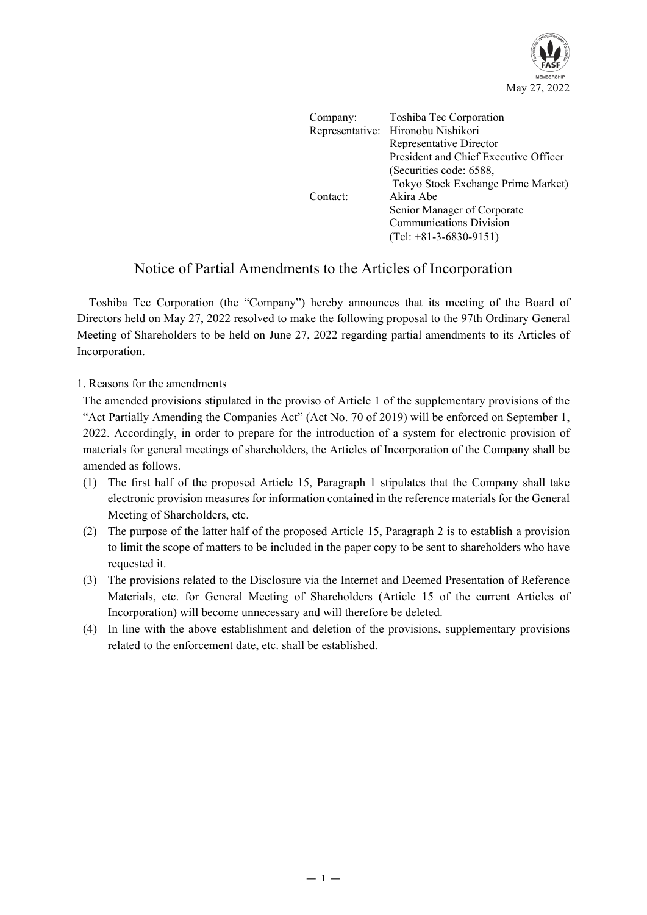

| Company: | Toshiba Tec Corporation               |
|----------|---------------------------------------|
|          | Representative: Hironobu Nishikori    |
|          | Representative Director               |
|          | President and Chief Executive Officer |
|          | (Securities code: 6588,               |
|          | Tokyo Stock Exchange Prime Market)    |
| Contact: | Akira Abe                             |
|          | Senior Manager of Corporate           |
|          | <b>Communications Division</b>        |
|          | $(Tel: +81-3-6830-9151)$              |

## Notice of Partial Amendments to the Articles of Incorporation

Toshiba Tec Corporation (the "Company") hereby announces that its meeting of the Board of Directors held on May 27, 2022 resolved to make the following proposal to the 97th Ordinary General Meeting of Shareholders to be held on June 27, 2022 regarding partial amendments to its Articles of Incorporation.

## 1. Reasons for the amendments

The amended provisions stipulated in the proviso of Article 1 of the supplementary provisions of the "Act Partially Amending the Companies Act" (Act No. 70 of 2019) will be enforced on September 1, 2022. Accordingly, in order to prepare for the introduction of a system for electronic provision of materials for general meetings of shareholders, the Articles of Incorporation of the Company shall be amended as follows.

- (1) The first half of the proposed Article 15, Paragraph 1 stipulates that the Company shall take electronic provision measures for information contained in the reference materials for the General Meeting of Shareholders, etc.
- (2) The purpose of the latter half of the proposed Article 15, Paragraph 2 is to establish a provision to limit the scope of matters to be included in the paper copy to be sent to shareholders who have requested it.
- (3) The provisions related to the Disclosure via the Internet and Deemed Presentation of Reference Materials, etc. for General Meeting of Shareholders (Article 15 of the current Articles of Incorporation) will become unnecessary and will therefore be deleted.
- (4) In line with the above establishment and deletion of the provisions, supplementary provisions related to the enforcement date, etc. shall be established.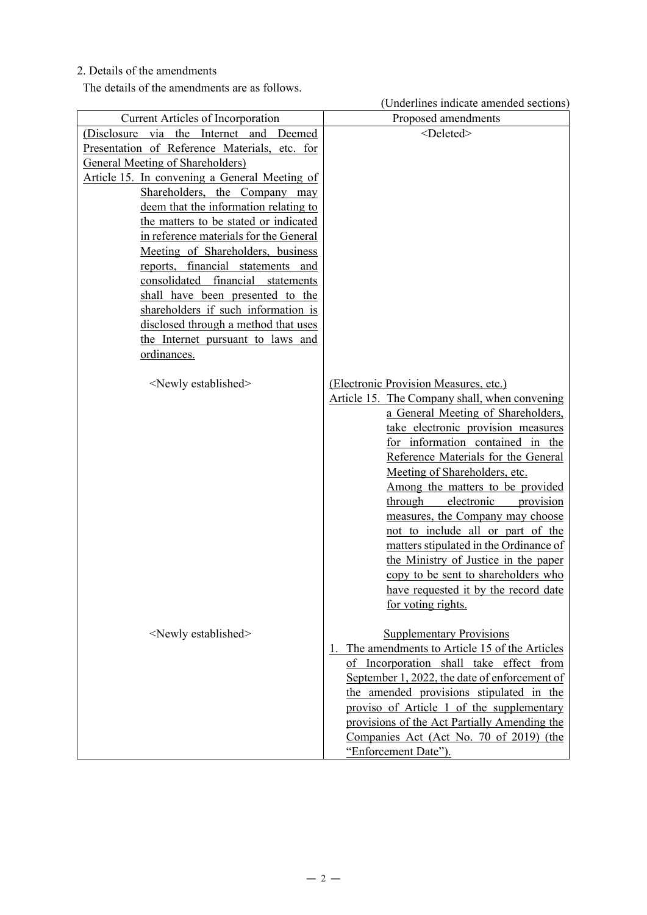## 2. Details of the amendments

The details of the amendments are as follows.

|                                                                       | (Underlines indicate amended sections)                                             |
|-----------------------------------------------------------------------|------------------------------------------------------------------------------------|
| Current Articles of Incorporation                                     | Proposed amendments                                                                |
| (Disclosure via the Internet<br>and Deemed                            | <deleted></deleted>                                                                |
| Presentation of Reference Materials, etc. for                         |                                                                                    |
| <b>General Meeting of Shareholders</b> )                              |                                                                                    |
| Article 15. In convening a General Meeting of                         |                                                                                    |
| Shareholders, the Company may                                         |                                                                                    |
| deem that the information relating to                                 |                                                                                    |
| the matters to be stated or indicated                                 |                                                                                    |
| in reference materials for the General                                |                                                                                    |
| Meeting of Shareholders, business                                     |                                                                                    |
| reports, financial statements and                                     |                                                                                    |
| consolidated financial statements<br>shall have been presented to the |                                                                                    |
| shareholders if such information is                                   |                                                                                    |
| disclosed through a method that uses                                  |                                                                                    |
| the Internet pursuant to laws and                                     |                                                                                    |
| ordinances.                                                           |                                                                                    |
|                                                                       |                                                                                    |
| <newly established=""></newly>                                        | (Electronic Provision Measures, etc.)                                              |
|                                                                       | Article 15. The Company shall, when convening                                      |
|                                                                       | a General Meeting of Shareholders,                                                 |
|                                                                       | take electronic provision measures                                                 |
|                                                                       | for information contained in the                                                   |
|                                                                       | Reference Materials for the General                                                |
|                                                                       | Meeting of Shareholders, etc.                                                      |
|                                                                       | Among the matters to be provided                                                   |
|                                                                       | electronic<br>through<br>provision                                                 |
|                                                                       | measures, the Company may choose                                                   |
|                                                                       | not to include all or part of the                                                  |
|                                                                       | matters stipulated in the Ordinance of                                             |
|                                                                       | the Ministry of Justice in the paper                                               |
|                                                                       | copy to be sent to shareholders who                                                |
|                                                                       | have requested it by the record date                                               |
|                                                                       | for voting rights.                                                                 |
|                                                                       |                                                                                    |
| <newly established=""></newly>                                        | <b>Supplementary Provisions</b><br>1. The amendments to Article 15 of the Articles |
|                                                                       | of Incorporation shall take effect from                                            |
|                                                                       | September 1, 2022, the date of enforcement of                                      |
|                                                                       | the amended provisions stipulated in the                                           |
|                                                                       | proviso of Article 1 of the supplementary                                          |
|                                                                       | provisions of the Act Partially Amending the                                       |
|                                                                       | Companies Act (Act No. 70 of 2019) (the                                            |
|                                                                       | "Enforcement Date").                                                               |